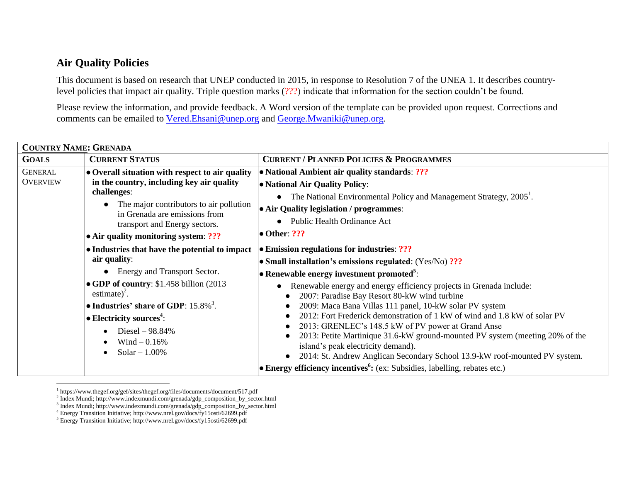## **Air Quality Policies**

This document is based on research that UNEP conducted in 2015, in response to Resolution 7 of the UNEA 1. It describes countrylevel policies that impact air quality. Triple question marks (???) indicate that information for the section couldn't be found.

Please review the information, and provide feedback. A Word version of the template can be provided upon request. Corrections and comments can be emailed to [Vered.Ehsani@unep.org](mailto:Vered.Ehsani@unep.org) and [George.Mwaniki@unep.org.](mailto:George.Mwaniki@unep.org)

| <b>COUNTRY NAME: GRENADA</b>      |                                                                                                                                                                                                                                                                                                                                                      |                                                                                                                                                                                                                                                                                                                                                                                                                                                                                                                                                                                                                                                                                                                                                                            |  |  |
|-----------------------------------|------------------------------------------------------------------------------------------------------------------------------------------------------------------------------------------------------------------------------------------------------------------------------------------------------------------------------------------------------|----------------------------------------------------------------------------------------------------------------------------------------------------------------------------------------------------------------------------------------------------------------------------------------------------------------------------------------------------------------------------------------------------------------------------------------------------------------------------------------------------------------------------------------------------------------------------------------------------------------------------------------------------------------------------------------------------------------------------------------------------------------------------|--|--|
| <b>GOALS</b>                      | <b>CURRENT STATUS</b>                                                                                                                                                                                                                                                                                                                                | <b>CURRENT / PLANNED POLICIES &amp; PROGRAMMES</b>                                                                                                                                                                                                                                                                                                                                                                                                                                                                                                                                                                                                                                                                                                                         |  |  |
| <b>GENERAL</b><br><b>OVERVIEW</b> | • Overall situation with respect to air quality<br>in the country, including key air quality<br>challenges:<br>The major contributors to air pollution<br>in Grenada are emissions from<br>transport and Energy sectors.<br>• Air quality monitoring system: ???                                                                                     | • National Ambient air quality standards: ???<br>• National Air Quality Policy:<br>The National Environmental Policy and Management Strategy, 2005 <sup>1</sup> .<br>$\bullet$<br>• Air Quality legislation / programmes:<br>Public Health Ordinance Act<br>$\bullet$ Other: ???                                                                                                                                                                                                                                                                                                                                                                                                                                                                                           |  |  |
|                                   | • Industries that have the potential to impact<br>air quality:<br>• Energy and Transport Sector.<br>• GDP of country: \$1.458 billion (2013)<br>estimate) <sup>2</sup> .<br>• Industries' share of GDP: $15.8\%$ <sup>3</sup> .<br>$\bullet$ Electricity sources <sup>4</sup> :<br>Diesel $-98.84%$<br>$\bullet$<br>Wind $-0.16%$<br>Solar $-1.00\%$ | • Emission regulations for industries: ???<br>• Small installation's emissions regulated: (Yes/No) ???<br>• Renewable energy investment promoted <sup>5</sup> :<br>Renewable energy and energy efficiency projects in Grenada include:<br>2007: Paradise Bay Resort 80-kW wind turbine<br>2009: Maca Bana Villas 111 panel, 10-kW solar PV system<br>2012: Fort Frederick demonstration of 1 kW of wind and 1.8 kW of solar PV<br>2013: GRENLEC's 148.5 kW of PV power at Grand Anse<br>2013: Petite Martinique 31.6-kW ground-mounted PV system (meeting 20% of the<br>island's peak electricity demand).<br>2014: St. Andrew Anglican Secondary School 13.9-kW roof-mounted PV system.<br><b>Energy efficiency incentives</b> $(ex: Subsidies, labelling, rebates etc.)$ |  |  |

 $\overline{a}$ <sup>1</sup> https://www.thegef.org/gef/sites/thegef.org/files/documents/document/517.pdf

<sup>2</sup> Index Mundi; http://www.indexmundi.com/grenada/gdp\_composition\_by\_sector.html

<sup>&</sup>lt;sup>3</sup> Index Mundi; http://www.indexmundi.com/grenada/gdp\_composition\_by\_sector.html

<sup>4</sup> Energy Transition Initiative; http://www.nrel.gov/docs/fy15osti/62699.pdf

<sup>5</sup> Energy Transition Initiative; http://www.nrel.gov/docs/fy15osti/62699.pdf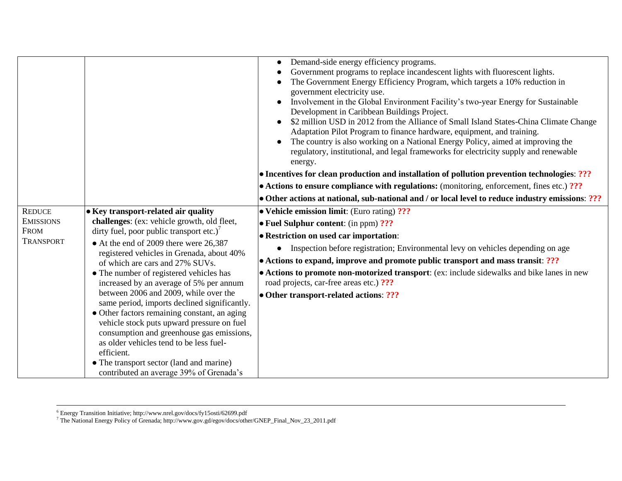| <b>REDUCE</b>                                       | • Key transport-related air quality                                                                                                                                                                                                                                                                                                                                                                                                                                                                                                                                                                                                                                                                     | Demand-side energy efficiency programs.<br>$\bullet$<br>Government programs to replace incandescent lights with fluorescent lights.<br>The Government Energy Efficiency Program, which targets a 10% reduction in<br>government electricity use.<br>Involvement in the Global Environment Facility's two-year Energy for Sustainable<br>Development in Caribbean Buildings Project.<br>\$2 million USD in 2012 from the Alliance of Small Island States-China Climate Change<br>Adaptation Pilot Program to finance hardware, equipment, and training.<br>The country is also working on a National Energy Policy, aimed at improving the<br>regulatory, institutional, and legal frameworks for electricity supply and renewable<br>energy.<br>• Incentives for clean production and installation of pollution prevention technologies: ???<br>$\bullet$ Actions to ensure compliance with regulations: (monitoring, enforcement, fines etc.) ???<br>• Other actions at national, sub-national and / or local level to reduce industry emissions: ???<br>$\bullet$ Vehicle emission limit: (Euro rating) ??? |
|-----------------------------------------------------|---------------------------------------------------------------------------------------------------------------------------------------------------------------------------------------------------------------------------------------------------------------------------------------------------------------------------------------------------------------------------------------------------------------------------------------------------------------------------------------------------------------------------------------------------------------------------------------------------------------------------------------------------------------------------------------------------------|---------------------------------------------------------------------------------------------------------------------------------------------------------------------------------------------------------------------------------------------------------------------------------------------------------------------------------------------------------------------------------------------------------------------------------------------------------------------------------------------------------------------------------------------------------------------------------------------------------------------------------------------------------------------------------------------------------------------------------------------------------------------------------------------------------------------------------------------------------------------------------------------------------------------------------------------------------------------------------------------------------------------------------------------------------------------------------------------------------------|
| <b>EMISSIONS</b><br><b>FROM</b><br><b>TRANSPORT</b> | challenges: (ex: vehicle growth, old fleet,<br>dirty fuel, poor public transport etc.) <sup>7</sup><br>• At the end of 2009 there were 26,387<br>registered vehicles in Grenada, about 40%<br>of which are cars and 27% SUVs.<br>• The number of registered vehicles has<br>increased by an average of 5% per annum<br>between 2006 and 2009, while over the<br>same period, imports declined significantly.<br>• Other factors remaining constant, an aging<br>vehicle stock puts upward pressure on fuel<br>consumption and greenhouse gas emissions,<br>as older vehicles tend to be less fuel-<br>efficient.<br>• The transport sector (land and marine)<br>contributed an average 39% of Grenada's | $\bullet$ Fuel Sulphur content: (in ppm) ???<br><b>• Restriction on used car importation:</b><br>Inspection before registration; Environmental levy on vehicles depending on age<br>$\bullet$<br>• Actions to expand, improve and promote public transport and mass transit: ???<br>• Actions to promote non-motorized transport: (ex: include sidewalks and bike lanes in new<br>road projects, car-free areas etc.) ???<br>• Other transport-related actions: ???                                                                                                                                                                                                                                                                                                                                                                                                                                                                                                                                                                                                                                           |

l

<sup>6</sup> Energy Transition Initiative; http://www.nrel.gov/docs/fy15osti/62699.pdf

<sup>7</sup> The National Energy Policy of Grenada; http://www.gov.gd/egov/docs/other/GNEP\_Final\_Nov\_23\_2011.pdf